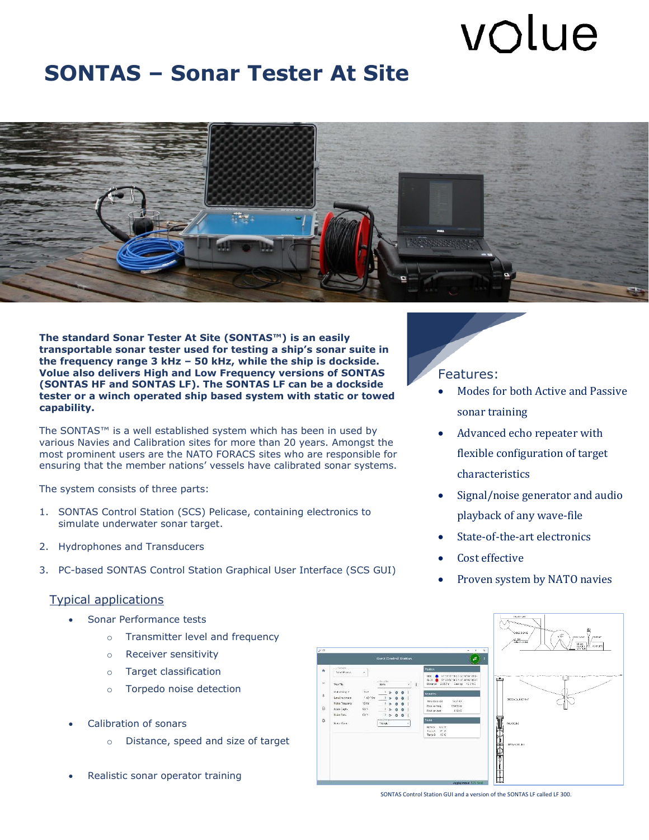# volue

### **SONTAS – Sonar Tester At Site**



the frequency range 3 kHz – 50 kHz, while the ship is dockside.<br>Volue also delivers High and Low Frequency versions of SONTAS **The standard Sonar Tester At Site (SONTAS™) is an easily transportable sonar tester used for testing a ship's sonar suite in the frequency range 3 kHz – 50 kHz, while the ship is dockside. (SONTAS HF and SONTAS LF). The SONTAS LF can be a dockside tester or a winch operated ship based system with static or towed capability.**

The SONTAS™ is a well established system which has been in used by<br>various Navies and Calibration sites for more than 20 years. Amongst t various Navies and Calibration sites for more than 20 years. Amongst the most prominent users are the NATO FORACS sites who are responsible for ensuring that the member nations' vessels have calibrated sonar systems.

The system consists of three parts:

- 1. SONTAS Control Station (SCS) Pelicase, containing electronics to simulate underwater sonar target.
- 2. Hydrophones and Transducers
- 3. PC-based SONTAS Control Station Graphical User Interface (SCS GUI)

#### Typical applications

- Sonar Performance tests
	- o Transmitter level and frequency
	- o Receiver sensitivity
	- o Target classification
	- o Torpedo noise detection
- Calibration of sonars
	- o Distance, speed and size of target
- Realistic sonar operator training

#### Features:

- Modes for both Active and Passive sonar training
- Advanced echo repeater with flexible configuration of target characteristics
- Signal/noise generator and audio playback of any wave-file
- State-of-the-art electronics
- Cost effective
- Proven system by NATO navies



SONTAS Control Station GUI and a version of the SONTAS LF called LF 300.